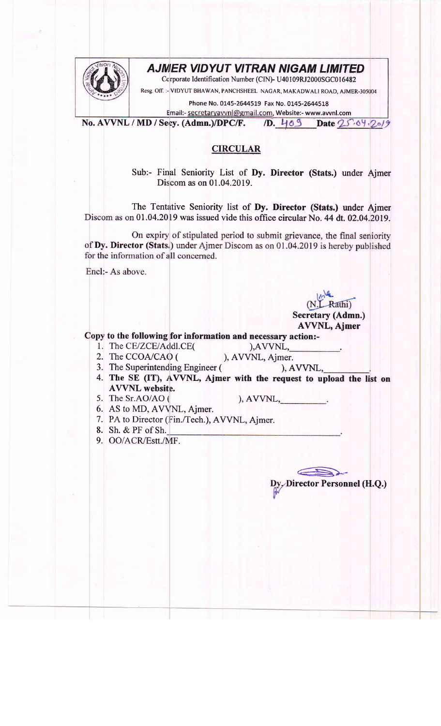

## AJMIER VIDYUT VITRAN NIGAM LIMITED

Ccrporate Identification Number (CIN)- U40109RJ2000SGC016482

Resg Off. :- VIDYUT BHAWAN, PANCHSHEEL NACAR, MAKADWALT ROAD, AJMER-305004

Phone No. 0145-2644519 Fax No. 0145-2644518

Email:- secretaryavvnl@gmail.com, Website:- www.avvnl.com No. AVVNL / MD / Secy. (Admn.)/DPC/F. /D. 409 Date 25.64.2019

## CIRCULAR

Sub:- Final Seniority List of Dy. Director (Stats.) under Ajmer Discom as on 01.04.2019.

The Tentative Seniority list of Dy. Director (Stats.) under Ajmer Discom as on 01.04.2019 was issued vide this office circular No. 44 dt. 02.04.2019.

On expiry of stipulated period to submit grievance, the final seniority of Dy. Director (Stats.) under Ajmer Discom as on 01.04.2019 is hereby published for the information of all concerned.

Encl:- As above.

), AVVNL, ), AVVNL, Ajmer.

Secretary (Admn.) AWNL, Ajmer

(N.L. Rathi)

 $\bigoplus$ 

Director Personnel (H.Q.)

2. The CCOA/CAO (

1. The CE/ZCE/Addl.CE(

- 3. The Superintending Engineer (
- 4. The SE (IT), AVVNL, Ajmer with the request to upload the list on AVVNL website. ), AVVNL,

to the following for information and necessary action:-

5. The Sr.AO/AO (

 $A VVNL$ ,

- 6. AS to MD, AV\NL, Ajmer.
- 7. PA to Director (Fin./Tech.), AVVNL, Ajmer.
- 8. Sh. & PF ofSh.
- 9. OO/ACR/Estt./MF